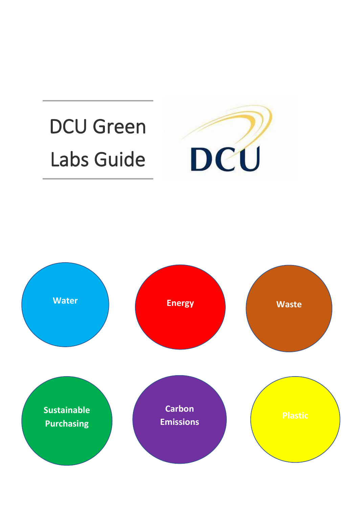# DCU Green Labs Guide



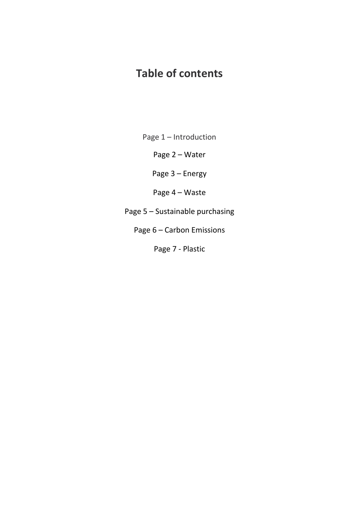## **Table of contents**

Page 1 – Introduction

Page 2 – Water

Page 3 – Energy

Page 4 – Waste

Page 5 – Sustainable purchasing

Page 6 – Carbon Emissions

Page 7 - Plastic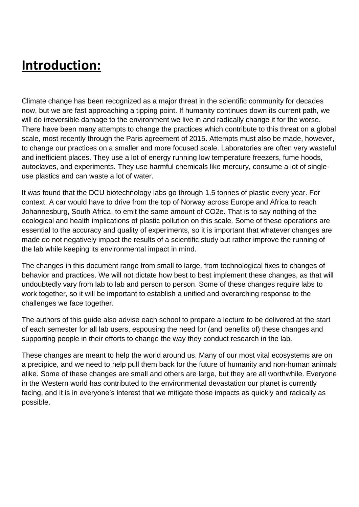# **Introduction:**

Climate change has been recognized as a major threat in the scientific community for decades now, but we are fast approaching a tipping point. If humanity continues down its current path, we will do irreversible damage to the environment we live in and radically change it for the worse. There have been many attempts to change the practices which contribute to this threat on a global scale, most recently through the Paris agreement of 2015. Attempts must also be made, however, to change our practices on a smaller and more focused scale. Laboratories are often very wasteful and inefficient places. They use a lot of energy running low temperature freezers, fume hoods, autoclaves, and experiments. They use harmful chemicals like mercury, consume a lot of singleuse plastics and can waste a lot of water.

It was found that the DCU biotechnology labs go through 1.5 tonnes of plastic every year. For context, A car would have to drive from the top of Norway across Europe and Africa to reach Johannesburg, South Africa, to emit the same amount of CO2e. That is to say nothing of the ecological and health implications of plastic pollution on this scale. Some of these operations are essential to the accuracy and quality of experiments, so it is important that whatever changes are made do not negatively impact the results of a scientific study but rather improve the running of the lab while keeping its environmental impact in mind.

The changes in this document range from small to large, from technological fixes to changes of behavior and practices. We will not dictate how best to best implement these changes, as that will undoubtedly vary from lab to lab and person to person. Some of these changes require labs to work together, so it will be important to establish a unified and overarching response to the challenges we face together.

The authors of this guide also advise each school to prepare a lecture to be delivered at the start of each semester for all lab users, espousing the need for (and benefits of) these changes and supporting people in their efforts to change the way they conduct research in the lab.

These changes are meant to help the world around us. Many of our most vital ecosystems are on a precipice, and we need to help pull them back for the future of humanity and non-human animals alike. Some of these changes are small and others are large, but they are all worthwhile. Everyone in the Western world has contributed to the environmental devastation our planet is currently facing, and it is in everyone's interest that we mitigate those impacts as quickly and radically as possible.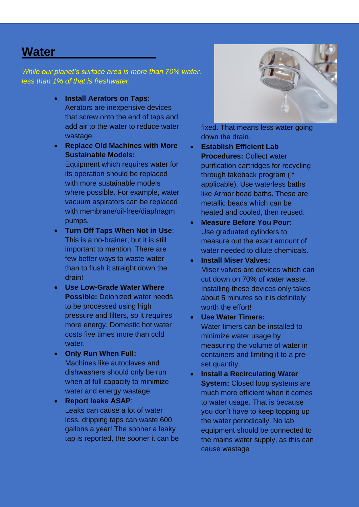## **Water\_\_\_\_\_\_\_\_\_\_\_\_\_\_\_**

*While our planet's surface area is more than 70% water, less than 1% of that is freshwater.*

- **Install Aerators on Taps:** Aerators are inexpensive devices that screw onto the end of taps and add air to the water to reduce water wastage.
- **Replace Old Machines with More Sustainable Models:**  Equipment which requires water for its operation should be replaced with more sustainable models where possible. For example, water vacuum aspirators can be replaced with membrane/oil-free/diaphragm pumps.
- **Turn Off Taps When Not in Use**: This is a no-brainer, but it is still important to mention. There are few better ways to waste water than to flush it straight down the drain!
- **Use Low-Grade Water Where Possible:** Deionized water needs to be processed using high pressure and filters, so it requires more energy. Domestic hot water costs five times more than cold water.
- **Only Run When Full:** Machines like autoclaves and dishwashers should only be run when at full capacity to minimize water and energy wastage.
- **Report leaks ASAP**: Leaks can cause a lot of water loss. dripping taps can waste 600 gallons a year! The sooner a leaky tap is reported, the sooner it can be



fixed. That means less water going down the drain.

- **Establish Efficient Lab Procedures:** Collect water purification cartridges for recycling through takeback program (If applicable). Use waterless baths like Armor bead baths. These are metallic beads which can be heated and cooled, then reused.
- **Measure Before You Pour:** Use graduated cylinders to measure out the exact amount of water needed to dilute chemicals.
- **Install Miser Valves:** Miser valves are devices which can cut down on 70% of water waste. Installing these devices only takes about 5 minutes so it is definitely worth the effort!
- **Use Water Timers:** Water timers can be installed to minimize water usage by measuring the volume of water in containers and limiting it to a preset quantity.
- **Install a Recirculating Water System:** Closed loop systems are much more efficient when it comes to water usage. That is because you don't have to keep topping up the water periodically. No lab equipment should be connected to the mains water supply, as this can cause wastage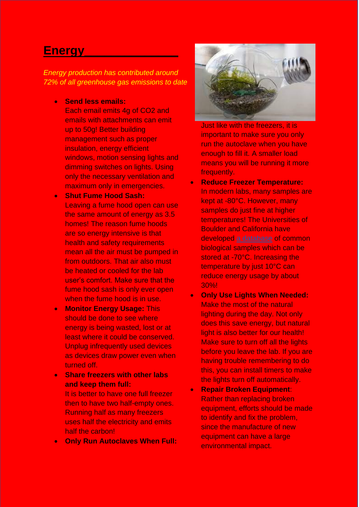### **Energy\_\_\_\_\_\_\_\_\_\_\_\_\_\_**

*Energy production has contributed around 72% of all greenhouse gas emissions to date*

• **Send less emails:**

Each email emits 4g of CO2 and emails with attachments can emit up to 50g! Better building management such as proper insulation, energy efficient windows, motion sensing lights and dimming switches on lights. Using only the necessary ventilation and maximum only in emergencies.

- **Shut Fume Hood Sash:** Leaving a fume hood open can use the same amount of energy as 3.5 homes! The reason fume hoods are so energy intensive is that health and safety requirements mean all the air must be pumped in from outdoors. That air also must be heated or cooled for the lab user's comfort. Make sure that the fume hood sash is only ever open when the fume hood is in use.
- **Monitor Energy Usage:** This should be done to see where energy is being wasted, lost or at least where it could be conserved. Unplug infrequently used devices as devices draw power even when turned off.
- **Share freezers with other labs and keep them full:** It is better to have one full freezer then to have two half-empty ones. Running half as many freezers uses half the electricity and emits half the carbon!
- **Only Run Autoclaves When Full:**



Just like with the freezers, it is important to make sure you only run the autoclave when you have enough to fill it. A smaller load means you will be running it more frequently.

- **Reduce Freezer Temperature:** In modern labs, many samples are kept at -80°C. However, many samples do just fine at higher temperatures! The Universities of Boulder and California have developed [a database](https://docs.google.com/spreadsheets/d/13UvBeoXAhwSHshSYoUDHwcxWiW7qYLnUb-eLwxJbCYs/pubhtml) of common biological samples which can be stored at -70°C. Increasing the temperature by just 10°C can reduce energy usage by about 30%!
- **Only Use Lights When Needed:** Make the most of the natural lighting during the day. Not only does this save energy, but natural light is also better for our health! Make sure to turn off all the lights before you leave the lab. If you are having trouble remembering to do this, you can install timers to make the lights turn off automatically.
- **Repair Broken Equipment**: Rather than replacing broken equipment, efforts should be made to identify and fix the problem, since the manufacture of new equipment can have a large environmental impact.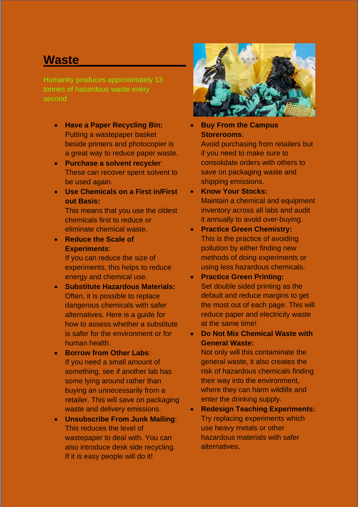## **Waste\_\_\_\_\_\_\_\_\_\_\_\_\_\_\_\_**

Humanity produces approximately 13 tonnes of hazardous waste every second

- **Have a Paper Recycling Bin:** Putting a wastepaper basket beside printers and photocopier is a great way to reduce paper waste.
- **Purchase a solvent recycler**: These can recover spent solvent to be used again.
- **Use Chemicals on a First in/First out Basis:**

This means that you use the oldest chemicals first to reduce or eliminate chemical waste.

• **Reduce the Scale of Experiments**:

> If you can reduce the size of experiments, this helps to reduce energy and chemical use.

- **Substitute Hazardous Materials:** Often, it is possible to replace dangerous chemicals with safer alternatives. Here is a guide for how to assess whether a substitute is safer for the environment or for human health.
- **Borrow from Other Labs**: If you need a small amount of something, see if another lab has some lying around rather than buying an unnecessarily from a retailer. This will save on packaging waste and delivery emissions.
- **Unsubscribe From Junk Mailing**: This reduces the level of wastepaper to deal with. You can also introduce desk side recycling. If it is easy people will do it!



- **Buy From the Campus Storerooms**: Avoid purchasing from retailers but if you need to make sure to consolidate orders with others to save on packaging waste and shipping emissions.
- **Know Your Stocks:** Maintain a chemical and equipment inventory across all labs and audit it annually to avoid over-buying.
- **Practice Green Chemistry:** This is the practice of avoiding pollution by either finding new methods of doing experiments or using less hazardous chemicals.
- **Practice Green Printing:** Set double sided printing as the default and reduce margins to get the most out of each page. This will reduce paper and electricity waste at the same time!
- **Do Not Mix Chemical Waste with General Waste:**

Not only will this contaminate the general waste, it also creates the risk of hazardous chemicals finding their way into the environment, where they can harm wildlife and enter the drinking supply.

• **Redesign Teaching Experiments:** Try replacing experiments which use heavy metals or other hazardous materials with safer alternatives.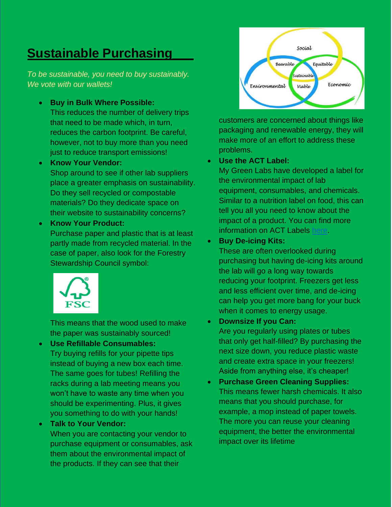## **Sustainable Purchasing\_\_\_**

*To be sustainable, you need to buy sustainably. We vote with our wallets!*

- **Buy in Bulk Where Possible:** This reduces the number of delivery trips that need to be made which, in turn, reduces the carbon footprint. Be careful, however, not to buy more than you need just to reduce transport emissions!
- **Know Your Vendor:**

Shop around to see if other lab suppliers place a greater emphasis on sustainability. Do they sell recycled or compostable materials? Do they dedicate space on their website to sustainability concerns?

• **Know Your Product:** Purchase paper and plastic that is at least partly made from recycled material. In the case of paper, also look for the Forestry Stewardship Council symbol:



This means that the wood used to make the paper was sustainably sourced!

• **Use Refillable Consumables:** Try buying refills for your pipette tips instead of buying a new box each time. The same goes for tubes! Refilling the racks during a lab meeting means you won't have to waste any time when you should be experimenting. Plus, it gives you something to do with your hands!

#### • **Talk to Your Vendor:**

When you are contacting your vendor to purchase equipment or consumables, ask them about the environmental impact of the products. If they can see that their



customers are concerned about things like packaging and renewable energy, they will make more of an effort to address these problems.

#### • **Use the ACT Label:**

My Green Labs have developed a label for the environmental impact of lab equipment, consumables, and chemicals. Similar to a nutrition label on food, this can tell you all you need to know about the impact of a product. You can find more information on ACT Labels [here.](https://act.mygreenlab.org/)

#### • **Buy De-icing Kits:**

These are often overlooked during purchasing but having de-icing kits around the lab will go a long way towards reducing your footprint. Freezers get less and less efficient over time, and de-icing can help you get more bang for your buck when it comes to energy usage.

#### • **Downsize If you Can:**

Are you regularly using plates or tubes that only get half-filled? By purchasing the next size down, you reduce plastic waste and create extra space in your freezers! Aside from anything else, it's cheaper!

• **Purchase Green Cleaning Supplies:** This means fewer harsh chemicals. It also means that you should purchase, for example, a mop instead of paper towels. The more you can reuse your cleaning equipment, the better the environmental impact over its lifetime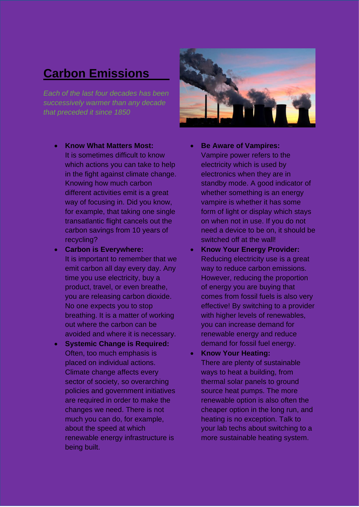## **Carbon Emissions**\_\_\_

*Each of the last four decades has been successively warmer than any decade that preceded it since 1850*

- **Know What Matters Most:** It is sometimes difficult to know which actions you can take to help in the fight against climate change. Knowing how much carbon different activities emit is a great way of focusing in. Did you know, for example, that taking one single transatlantic flight cancels out the carbon savings from 10 years of recycling?
- **Carbon is Everywhere:** It is important to remember that we emit carbon all day every day. Any time you use electricity, buy a product, travel, or even breathe, you are releasing carbon dioxide. No one expects you to stop breathing. It is a matter of working out where the carbon can be avoided and where it is necessary.
- **Systemic Change is Required:** Often, too much emphasis is placed on individual actions. Climate change affects every sector of society, so overarching policies and government initiatives are required in order to make the changes we need. There is not much you can do, for example, about the speed at which renewable energy infrastructure is being built.



- **Be Aware of Vampires:** Vampire power refers to the electricity which is used by electronics when they are in standby mode. A good indicator of whether something is an energy vampire is whether it has some form of light or display which stays on when not in use. If you do not need a device to be on, it should be switched off at the wall!
- **Know Your Energy Provider:** Reducing electricity use is a great way to reduce carbon emissions. However, reducing the proportion of energy you are buying that comes from fossil fuels is also very effective! By switching to a provider with higher levels of renewables, you can increase demand for renewable energy and reduce demand for fossil fuel energy.
- **Know Your Heating:** There are plenty of sustainable ways to heat a building, from thermal solar panels to ground source heat pumps. The more renewable option is also often the cheaper option in the long run, and heating is no exception. Talk to your lab techs about switching to a more sustainable heating system.